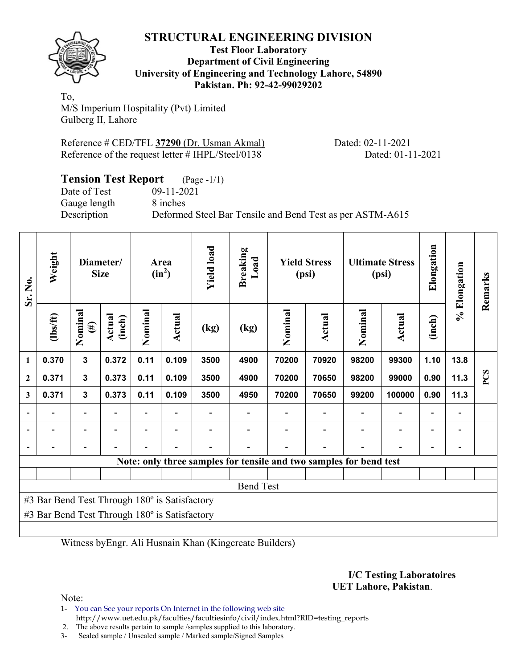

#### **Test Floor Laboratory Department of Civil Engineering University of Engineering and Technology Lahore, 54890 Pakistan. Ph: 92-42-99029202**

To, M/S Imperium Hospitality (Pvt) Limited Gulberg II, Lahore

Reference # CED/TFL **37290** (Dr. Usman Akmal) Dated: 02-11-2021 Reference of the request letter # IHPL/Steel/0138 Dated: 01-11-2021

| <b>Tension Test Report</b> (Page -1/1) |                                                           |
|----------------------------------------|-----------------------------------------------------------|
| Date of Test                           | $09-11-2021$                                              |
| Gauge length                           | 8 inches                                                  |
| Description                            | Deformed Steel Bar Tensile and Bend Test as per ASTM-A615 |

| Sr. No.      | Weight                                        |                          | Diameter/<br><b>Size</b> |                          | Area<br>$(in^2)$ | <b>Yield load</b> | <b>Breaking</b><br>Load |         | <b>Yield Stress</b><br><b>Ultimate Stress</b><br>(psi)<br>(psi)    |         | Elongation | % Elongation             | Remarks |     |
|--------------|-----------------------------------------------|--------------------------|--------------------------|--------------------------|------------------|-------------------|-------------------------|---------|--------------------------------------------------------------------|---------|------------|--------------------------|---------|-----|
|              | (1bs/ft)                                      | Nominal<br>$(\#)$        | Actual<br>(inch)         | Nominal                  | Actual           | (kg)              | (kg)                    | Nominal | Actual                                                             | Nominal | Actual     | (inch)                   |         |     |
| 1            | 0.370                                         | 3                        | 0.372                    | 0.11                     | 0.109            | 3500              | 4900                    | 70200   | 70920                                                              | 98200   | 99300      | 1.10                     | 13.8    |     |
| $\mathbf{2}$ | 0.371                                         | 3                        | 0.373                    | 0.11                     | 0.109            | 3500              | 4900                    | 70200   | 70650                                                              | 98200   | 99000      | 0.90                     | 11.3    | PCS |
| 3            | 0.371                                         | $\mathbf{3}$             | 0.373                    | 0.11                     | 0.109            | 3500              | 4950                    | 70200   | 70650                                                              | 99200   | 100000     | 0.90                     | 11.3    |     |
|              |                                               | $\overline{\phantom{0}}$ |                          | $\overline{\phantom{0}}$ |                  |                   |                         |         |                                                                    |         |            | $\overline{\phantom{0}}$ |         |     |
|              |                                               |                          |                          |                          |                  |                   |                         |         |                                                                    |         |            |                          |         |     |
|              |                                               |                          |                          |                          |                  |                   |                         |         |                                                                    |         |            |                          |         |     |
|              |                                               |                          |                          |                          |                  |                   |                         |         | Note: only three samples for tensile and two samples for bend test |         |            |                          |         |     |
|              |                                               |                          |                          |                          |                  |                   |                         |         |                                                                    |         |            |                          |         |     |
|              |                                               |                          |                          |                          |                  |                   | <b>Bend Test</b>        |         |                                                                    |         |            |                          |         |     |
|              | #3 Bar Bend Test Through 180° is Satisfactory |                          |                          |                          |                  |                   |                         |         |                                                                    |         |            |                          |         |     |
|              | #3 Bar Bend Test Through 180° is Satisfactory |                          |                          |                          |                  |                   |                         |         |                                                                    |         |            |                          |         |     |
|              |                                               |                          |                          |                          |                  |                   |                         |         |                                                                    |         |            |                          |         |     |

Witness byEngr. Ali Husnain Khan (Kingcreate Builders)

**I/C Testing Laboratoires UET Lahore, Pakistan**.

Note:

1- You can See your reports On Internet in the following web site http://www.uet.edu.pk/faculties/facultiesinfo/civil/index.html?RID=testing\_reports

2. The above results pertain to sample /samples supplied to this laboratory.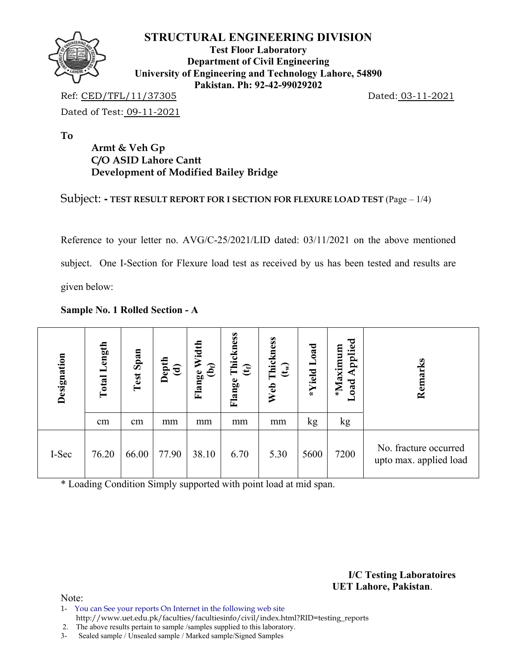

**Test Floor Laboratory Department of Civil Engineering University of Engineering and Technology Lahore, 54890 Pakistan. Ph: 92-42-99029202** 

Ref: CED/TFL/11/37305 Dated: 03-11-2021 Dated of Test: 09-11-2021

**To** 

# **Armt & Veh Gp C/O ASID Lahore Cantt Development of Modified Bailey Bridge**

## Subject: **- TEST RESULT REPORT FOR I SECTION FOR FLEXURE LOAD TEST** (Page – 1/4)

Reference to your letter no. AVG/C-25/2021/LID dated: 03/11/2021 on the above mentioned subject. One I-Section for Flexure load test as received by us has been tested and results are given below:

### **Sample No. 1 Rolled Section - A**

| Designation | ength<br>Total | Span<br>Test | ਮੂਤ<br>ਵਿ | Width<br>Flange W<br>(b <sub>f</sub> ) | Flange Thickness<br>(t <sub>f)</sub> | Thickness<br>$\mathbf{f}(\mathbf{t})$<br>Web | Load<br>*Yield | Applied<br>*Maximum<br>Load | Remarks                                         |
|-------------|----------------|--------------|-----------|----------------------------------------|--------------------------------------|----------------------------------------------|----------------|-----------------------------|-------------------------------------------------|
|             | cm             | cm           | mm        | mm                                     | mm                                   | mm                                           | kg             | kg                          |                                                 |
| I-Sec       | 76.20          | 66.00        | 77.90     | 38.10                                  | 6.70                                 | 5.30                                         | 5600           | 7200                        | No. fracture occurred<br>upto max. applied load |

\* Loading Condition Simply supported with point load at mid span.

**I/C Testing Laboratoires UET Lahore, Pakistan**.

- 1- You can See your reports On Internet in the following web site http://www.uet.edu.pk/faculties/facultiesinfo/civil/index.html?RID=testing\_reports
- 2. The above results pertain to sample /samples supplied to this laboratory.
- 3- Sealed sample / Unsealed sample / Marked sample/Signed Samples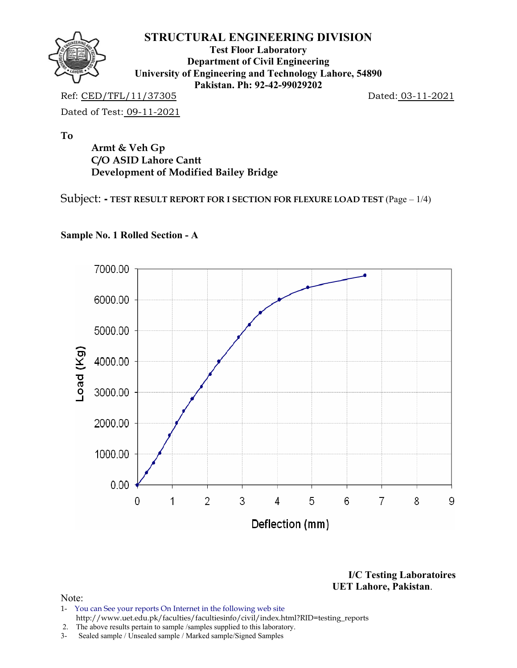

**Test Floor Laboratory Department of Civil Engineering University of Engineering and Technology Lahore, 54890 Pakistan. Ph: 92-42-99029202** 

Ref: CED/TFL/11/37305 Dated: 03-11-2021 Dated of Test: 09-11-2021

**To** 

**Armt & Veh Gp C/O ASID Lahore Cantt Development of Modified Bailey Bridge** 

Subject: **- TEST RESULT REPORT FOR I SECTION FOR FLEXURE LOAD TEST** (Page – 1/4)



## **Sample No. 1 Rolled Section - A**

**I/C Testing Laboratoires UET Lahore, Pakistan**.

- 1- You can See your reports On Internet in the following web site http://www.uet.edu.pk/faculties/facultiesinfo/civil/index.html?RID=testing\_reports
- 2. The above results pertain to sample /samples supplied to this laboratory.
- 3- Sealed sample / Unsealed sample / Marked sample/Signed Samples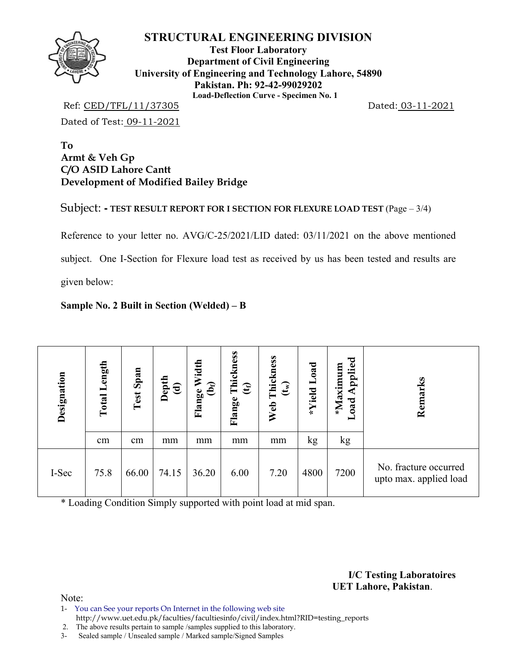

**Test Floor Laboratory Department of Civil Engineering University of Engineering and Technology Lahore, 54890 Pakistan. Ph: 92-42-99029202 Load-Deflection Curve - Specimen No. 1** 

Ref: CED/TFL/11/37305 Dated: 03-11-2021 Dated of Test: 09-11-2021

**To Armt & Veh Gp C/O ASID Lahore Cantt Development of Modified Bailey Bridge** 

Subject: **- TEST RESULT REPORT FOR I SECTION FOR FLEXURE LOAD TEST** (Page – 3/4)

Reference to your letter no. AVG/C-25/2021/LID dated: 03/11/2021 on the above mentioned subject. One I-Section for Flexure load test as received by us has been tested and results are given below:

### **Sample No. 2 Built in Section (Welded) – B**

| Designation | ength<br>Total | Span<br>Test | Depth<br>(d) | Width<br>වි<br>Flange | Thickness<br>$\mathfrak{E}$<br>Flange | Thickness<br>(t <sub>w</sub> )<br>Web | Load<br>*Yield | Applied<br>*Maximum<br>beo-<br>$\blacksquare$ | Remarks                                         |
|-------------|----------------|--------------|--------------|-----------------------|---------------------------------------|---------------------------------------|----------------|-----------------------------------------------|-------------------------------------------------|
|             | cm             | cm           | mm           | mm                    | mm                                    | mm                                    | kg             | kg                                            |                                                 |
| I-Sec       | 75.8           | 66.00        | 74.15        | 36.20                 | 6.00                                  | 7.20                                  | 4800           | 7200                                          | No. fracture occurred<br>upto max. applied load |

\* Loading Condition Simply supported with point load at mid span.

**I/C Testing Laboratoires UET Lahore, Pakistan**.

Note:

1- You can See your reports On Internet in the following web site http://www.uet.edu.pk/faculties/facultiesinfo/civil/index.html?RID=testing\_reports

2. The above results pertain to sample /samples supplied to this laboratory.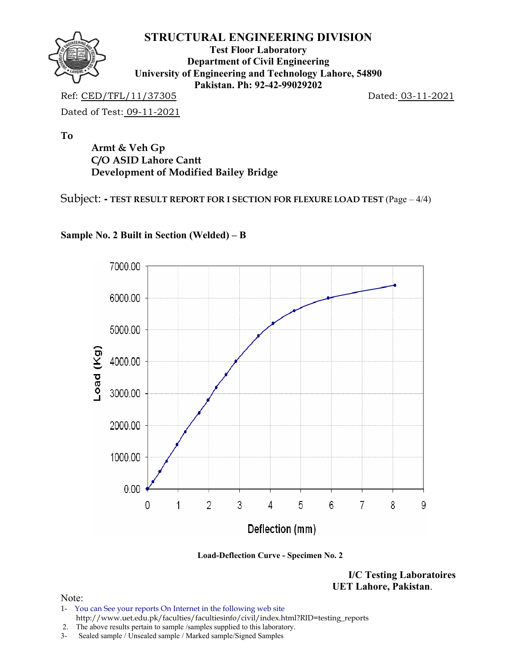

**Test Floor Laboratory Department of Civil Engineering University of Engineering and Technology Lahore, 54890 Pakistan. Ph: 92-42-99029202** 

Ref: CED/TFL/11/37305 Dated: 03-11-2021 Dated of Test: 09-11-2021

**To** 

**Armt & Veh Gp C/O ASID Lahore Cantt Development of Modified Bailey Bridge** 

Subject: **- TEST RESULT REPORT FOR I SECTION FOR FLEXURE LOAD TEST** (Page – 4/4)



# **Sample No. 2 Built in Section (Welded) – B**

 **Load-Deflection Curve - Specimen No. 2** 

**I/C Testing Laboratoires UET Lahore, Pakistan**.

- 1- You can See your reports On Internet in the following web site http://www.uet.edu.pk/faculties/facultiesinfo/civil/index.html?RID=testing\_reports
- 2. The above results pertain to sample /samples supplied to this laboratory.
- 3- Sealed sample / Unsealed sample / Marked sample/Signed Samples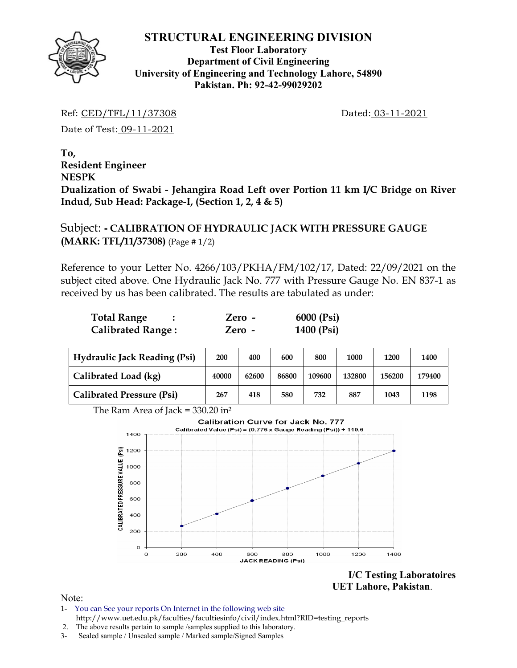

**Test Floor Laboratory Department of Civil Engineering University of Engineering and Technology Lahore, 54890 Pakistan. Ph: 92-42-99029202** 

Ref: CED/TFL/11/37308 Dated: 03-11-2021

Date of Test: 09-11-2021

**To, Resident Engineer NESPK Dualization of Swabi - Jehangira Road Left over Portion 11 km I/C Bridge on River Indud, Sub Head: Package-I, (Section 1, 2, 4 & 5)** 

# Subject: **- CALIBRATION OF HYDRAULIC JACK WITH PRESSURE GAUGE (MARK: TFL/11/37308)** (Page # 1/2)

Reference to your Letter No. 4266/103/PKHA/FM/102/17, Dated: 22/09/2021 on the subject cited above. One Hydraulic Jack No. 777 with Pressure Gauge No. EN 837-1 as received by us has been calibrated. The results are tabulated as under:

| <b>Total Range</b>       | Zero - | 6000 (Psi) |
|--------------------------|--------|------------|
| <b>Calibrated Range:</b> | Zero - | 1400 (Psi) |

| <b>Hydraulic Jack Reading (Psi)</b> | 200   | 400   | 600   | 800    | 1000   | 1200   | 1400   |
|-------------------------------------|-------|-------|-------|--------|--------|--------|--------|
| Calibrated Load (kg)                | 40000 | 62600 | 86800 | 109600 | 132800 | 156200 | 179400 |
| <b>Calibrated Pressure (Psi)</b>    | 267   | 418   | 580   | 732    | 887    | 1043   | 1198   |

The Ram Area of Jack =  $330.20$  in<sup>2</sup>



**I/C Testing Laboratoires UET Lahore, Pakistan**.

- 1- You can See your reports On Internet in the following web site http://www.uet.edu.pk/faculties/facultiesinfo/civil/index.html?RID=testing\_reports
- 2. The above results pertain to sample /samples supplied to this laboratory.
- 3- Sealed sample / Unsealed sample / Marked sample/Signed Samples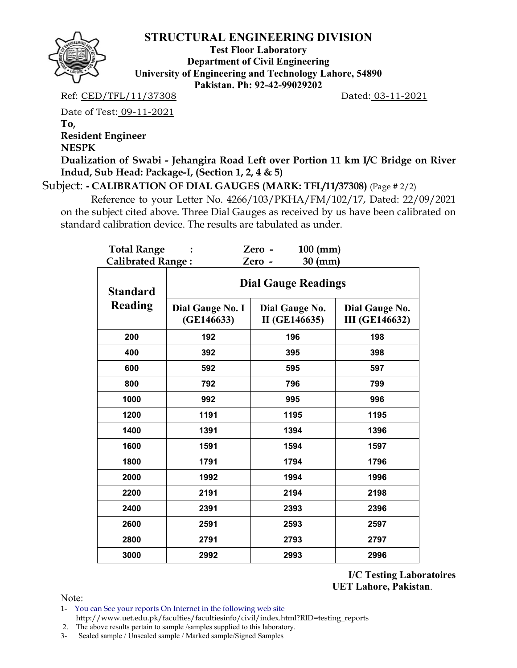

**Test Floor Laboratory Department of Civil Engineering University of Engineering and Technology Lahore, 54890 Pakistan. Ph: 92-42-99029202** 

Ref: CED/TFL/11/37308 Dated: 03-11-2021

Date of Test: 09-11-2021 **To, Resident Engineer** 

**NESPK** 

**Dualization of Swabi - Jehangira Road Left over Portion 11 km I/C Bridge on River Indud, Sub Head: Package-I, (Section 1, 2, 4 & 5)** 

Subject: **- CALIBRATION OF DIAL GAUGES (MARK: TFL/11/37308)** (Page # 2/2)

 Reference to your Letter No. 4266/103/PKHA/FM/102/17, Dated: 22/09/2021 on the subject cited above. Three Dial Gauges as received by us have been calibrated on standard calibration device. The results are tabulated as under.

| <b>Total Range</b>       |                                | $100$ (mm)<br>Zero -            |                                         |  |  |  |  |  |
|--------------------------|--------------------------------|---------------------------------|-----------------------------------------|--|--|--|--|--|
| <b>Calibrated Range:</b> |                                | $30$ (mm)<br>Zero -             |                                         |  |  |  |  |  |
| <b>Standard</b>          |                                | <b>Dial Gauge Readings</b>      |                                         |  |  |  |  |  |
| <b>Reading</b>           | Dial Gauge No. I<br>(GE146633) | Dial Gauge No.<br>II (GE146635) | Dial Gauge No.<br><b>III</b> (GE146632) |  |  |  |  |  |
| 200                      | 192                            | 196                             | 198                                     |  |  |  |  |  |
| 400                      | 392                            | 395                             | 398                                     |  |  |  |  |  |
| 600                      | 592                            | 595                             | 597                                     |  |  |  |  |  |
| 800                      | 792                            | 796                             | 799                                     |  |  |  |  |  |
| 1000                     | 992                            | 995                             | 996                                     |  |  |  |  |  |
| 1200                     | 1191                           | 1195                            | 1195                                    |  |  |  |  |  |
| 1400                     | 1391                           | 1394                            | 1396                                    |  |  |  |  |  |
| 1600                     | 1591                           | 1594                            | 1597                                    |  |  |  |  |  |
| 1800                     | 1791                           | 1794                            | 1796                                    |  |  |  |  |  |
| 2000                     | 1992                           | 1994                            | 1996                                    |  |  |  |  |  |
| 2200                     | 2191                           | 2194                            | 2198                                    |  |  |  |  |  |
| 2400                     | 2391                           | 2393                            | 2396                                    |  |  |  |  |  |
| 2600                     | 2591                           | 2593                            | 2597                                    |  |  |  |  |  |
| 2800                     | 2791                           | 2793                            | 2797                                    |  |  |  |  |  |
| 3000                     | 2992                           | 2993                            | 2996                                    |  |  |  |  |  |

**I/C Testing Laboratoires UET Lahore, Pakistan**.

Note:

1- You can See your reports On Internet in the following web site http://www.uet.edu.pk/faculties/facultiesinfo/civil/index.html?RID=testing\_reports

2. The above results pertain to sample /samples supplied to this laboratory.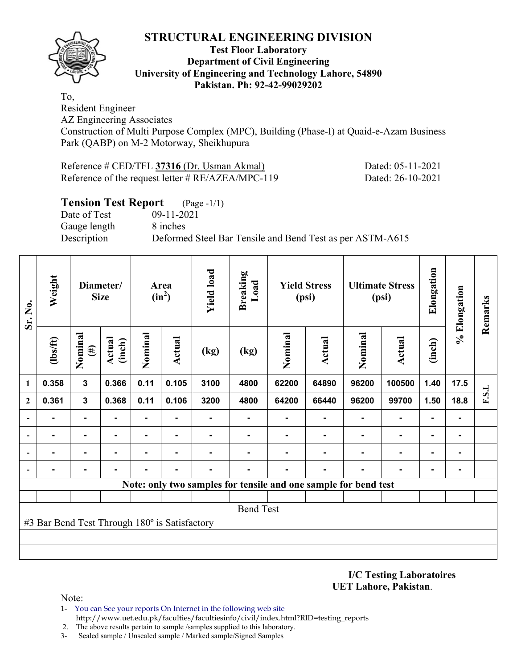

### **Test Floor Laboratory Department of Civil Engineering University of Engineering and Technology Lahore, 54890 Pakistan. Ph: 92-42-99029202**

To, Resident Engineer

AZ Engineering Associates

Construction of Multi Purpose Complex (MPC), Building (Phase-I) at Quaid-e-Azam Business Park (QABP) on M-2 Motorway, Sheikhupura

| Reference # CED/TFL 37316 (Dr. Usman Akmal)          | Dated: 05-11-2021 |
|------------------------------------------------------|-------------------|
| Reference of the request letter $\# RE/AZEA/MPC-119$ | Dated: 26-10-2021 |

# **Tension Test Report** (Page -1/1)

Date of Test 09-11-2021 Gauge length 8 inches

Description Deformed Steel Bar Tensile and Bend Test as per ASTM-A615

| Sr. No.        | Weight                                        | Diameter/<br><b>Size</b> |                  |         |                |      | Area<br>$(in^2)$ | <b>Yield load</b> | <b>Breaking</b><br>Load                                         |                | <b>Yield Stress</b><br>(psi) |                | <b>Ultimate Stress</b><br>(psi) | Elongation | % Elongation | Remarks |
|----------------|-----------------------------------------------|--------------------------|------------------|---------|----------------|------|------------------|-------------------|-----------------------------------------------------------------|----------------|------------------------------|----------------|---------------------------------|------------|--------------|---------|
|                | $\frac{2}{10}$                                | Nominal<br>$(\#)$        | Actual<br>(inch) | Nominal | <b>Actual</b>  | (kg) | (kg)             | Nominal           | <b>Actual</b>                                                   | Nominal        | <b>Actual</b>                | (inch)         |                                 |            |              |         |
| 1              | 0.358                                         | $\mathbf{3}$             | 0.366            | 0.11    | 0.105          | 3100 | 4800             | 62200             | 64890                                                           | 96200          | 100500                       | 1.40           | 17.5                            |            |              |         |
| $\mathbf{2}$   | 0.361                                         | $\mathbf{3}$             | 0.368            | 0.11    | 0.106          | 3200 | 4800             | 64200             | 66440                                                           | 96200          | 99700                        | 1.50           | 18.8                            | F.S.L      |              |         |
|                | $\blacksquare$                                | $\blacksquare$           |                  | Ξ.      | $\blacksquare$ |      | $\blacksquare$   | ۰                 |                                                                 | $\blacksquare$ | $\blacksquare$               | $\blacksquare$ | ۰                               |            |              |         |
|                |                                               | $\blacksquare$           | -                | ٠       | ۰              |      |                  | $\blacksquare$    |                                                                 |                | $\blacksquare$               | $\blacksquare$ | $\blacksquare$                  |            |              |         |
|                |                                               | ۰                        |                  |         |                |      |                  |                   |                                                                 |                | ٠                            | $\blacksquare$ | $\blacksquare$                  |            |              |         |
| $\overline{a}$ |                                               | ۰                        |                  |         |                |      |                  |                   |                                                                 |                |                              |                | ۰                               |            |              |         |
|                |                                               |                          |                  |         |                |      |                  |                   | Note: only two samples for tensile and one sample for bend test |                |                              |                |                                 |            |              |         |
|                |                                               |                          |                  |         |                |      |                  |                   |                                                                 |                |                              |                |                                 |            |              |         |
|                |                                               |                          |                  |         |                |      | <b>Bend Test</b> |                   |                                                                 |                |                              |                |                                 |            |              |         |
|                | #3 Bar Bend Test Through 180° is Satisfactory |                          |                  |         |                |      |                  |                   |                                                                 |                |                              |                |                                 |            |              |         |
|                |                                               |                          |                  |         |                |      |                  |                   |                                                                 |                |                              |                |                                 |            |              |         |
|                |                                               |                          |                  |         |                |      |                  |                   |                                                                 |                |                              |                |                                 |            |              |         |

**I/C Testing Laboratoires UET Lahore, Pakistan**.

Note:

1- You can See your reports On Internet in the following web site http://www.uet.edu.pk/faculties/facultiesinfo/civil/index.html?RID=testing\_reports

2. The above results pertain to sample /samples supplied to this laboratory.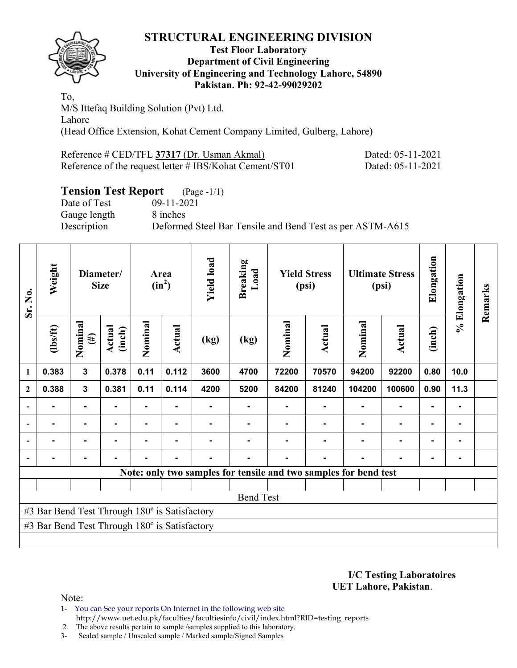

### **Test Floor Laboratory Department of Civil Engineering University of Engineering and Technology Lahore, 54890 Pakistan. Ph: 92-42-99029202**

To, M/S Ittefaq Building Solution (Pvt) Ltd. Lahore (Head Office Extension, Kohat Cement Company Limited, Gulberg, Lahore)

| Reference # CED/TFL 37317 (Dr. Usman Akmal)             | Dated: 05-11-2021 |
|---------------------------------------------------------|-------------------|
| Reference of the request letter # IBS/Kohat Cement/ST01 | Dated: 05-11-2021 |

# **Tension Test Report** (Page -1/1)

Date of Test 09-11-2021 Gauge length 8 inches Description Deformed Steel Bar Tensile and Bend Test as per ASTM-A615

| Sr. No.                  | Weight                                        |                   | Diameter/<br><b>Size</b> |                | Area<br>$(in^2)$ | <b>Yield load</b> | <b>Breaking</b><br>Load |                                                                  | Elongation<br><b>Yield Stress</b><br><b>Ultimate Stress</b><br>(psi)<br>(psi) |         |                |        | % Elongation   | Remarks |
|--------------------------|-----------------------------------------------|-------------------|--------------------------|----------------|------------------|-------------------|-------------------------|------------------------------------------------------------------|-------------------------------------------------------------------------------|---------|----------------|--------|----------------|---------|
|                          | $\frac{2}{10}$                                | Nominal<br>$(\#)$ | Actual<br>(inch)         | Nominal        | Actual           | (kg)              | (kg)                    | Nominal                                                          | <b>Actual</b>                                                                 | Nominal | Actual         | (inch) |                |         |
| 1                        | 0.383                                         | 3                 | 0.378                    | 0.11           | 0.112            | 3600              | 4700                    | 72200                                                            | 70570                                                                         | 94200   | 92200          | 0.80   | 10.0           |         |
| $\mathbf{2}$             | 0.388                                         | $\mathbf{3}$      | 0.381                    | 0.11           | 0.114            | 4200              | 5200                    | 84200                                                            | 81240                                                                         | 104200  | 100600         | 0.90   | 11.3           |         |
| $\overline{\phantom{0}}$ |                                               |                   |                          |                |                  |                   |                         |                                                                  |                                                                               |         |                |        |                |         |
| $\overline{\phantom{a}}$ |                                               | $\blacksquare$    |                          |                |                  |                   |                         |                                                                  |                                                                               |         |                |        | ۰.             |         |
|                          |                                               | $\blacksquare$    |                          | $\blacksquare$ |                  |                   |                         |                                                                  |                                                                               |         | $\blacksquare$ |        | ۰              |         |
|                          |                                               | $\blacksquare$    |                          |                |                  |                   |                         |                                                                  |                                                                               |         |                |        | $\blacksquare$ |         |
|                          |                                               |                   |                          |                |                  |                   |                         | Note: only two samples for tensile and two samples for bend test |                                                                               |         |                |        |                |         |
|                          |                                               |                   |                          |                |                  |                   |                         |                                                                  |                                                                               |         |                |        |                |         |
|                          |                                               |                   |                          |                |                  |                   | <b>Bend Test</b>        |                                                                  |                                                                               |         |                |        |                |         |
|                          | #3 Bar Bend Test Through 180° is Satisfactory |                   |                          |                |                  |                   |                         |                                                                  |                                                                               |         |                |        |                |         |
|                          | #3 Bar Bend Test Through 180° is Satisfactory |                   |                          |                |                  |                   |                         |                                                                  |                                                                               |         |                |        |                |         |
|                          |                                               |                   |                          |                |                  |                   |                         |                                                                  |                                                                               |         |                |        |                |         |

**I/C Testing Laboratoires UET Lahore, Pakistan**.

Note:

1- You can See your reports On Internet in the following web site http://www.uet.edu.pk/faculties/facultiesinfo/civil/index.html?RID=testing\_reports

2. The above results pertain to sample /samples supplied to this laboratory.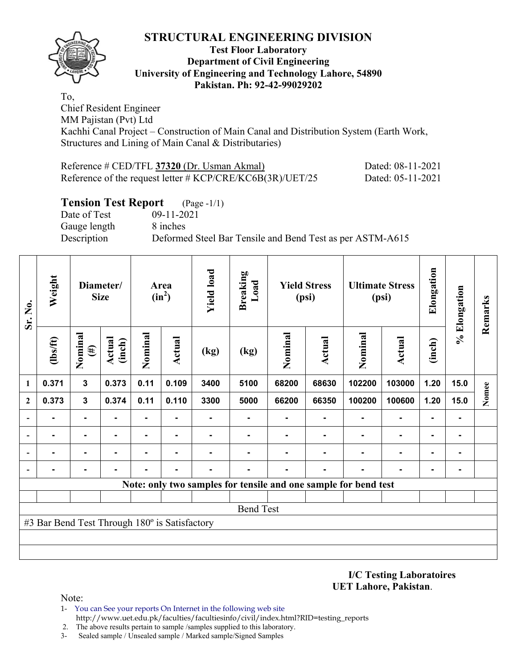

### **Test Floor Laboratory Department of Civil Engineering University of Engineering and Technology Lahore, 54890 Pakistan. Ph: 92-42-99029202**

To, Chief Resident Engineer MM Pajistan (Pvt) Ltd Kachhi Canal Project – Construction of Main Canal and Distribution System (Earth Work, Structures and Lining of Main Canal & Distributaries)

| Reference # CED/TFL 37320 (Dr. Usman Akmal)                 | Dated: 08-11-2021 |
|-------------------------------------------------------------|-------------------|
| Reference of the request letter # $KCP/CRE/KC6B(3R)/UET/25$ | Dated: 05-11-2021 |

## **Tension Test Report** (Page -1/1)

Date of Test 09-11-2021 Gauge length 8 inches

Description Deformed Steel Bar Tensile and Bend Test as per ASTM-A615

| Sr. No.      | Weight<br>Diameter/<br><b>Size</b>            |                   |                  |                | Area<br>$(in^2)$ | <b>Yield load</b><br><b>Breaking</b><br>Load |                  | <b>Yield Stress</b><br>(psi) |               | <b>Ultimate Stress</b><br>(psi)                                 |                | Elongation     | % Elongation   | Remarks |
|--------------|-----------------------------------------------|-------------------|------------------|----------------|------------------|----------------------------------------------|------------------|------------------------------|---------------|-----------------------------------------------------------------|----------------|----------------|----------------|---------|
|              | $\frac{2}{10}$                                | Nominal<br>$(\#)$ | Actual<br>(inch) | Nominal        | <b>Actual</b>    | (kg)                                         | (kg)             | Nominal                      | <b>Actual</b> | Nominal                                                         | <b>Actual</b>  | (inch)         |                |         |
| 1            | 0.371                                         | $\mathbf 3$       | 0.373            | 0.11           | 0.109            | 3400                                         | 5100             | 68200                        | 68630         | 102200                                                          | 103000         | 1.20           | 15.0           |         |
| $\mathbf{2}$ | 0.373                                         | $\mathbf{3}$      | 0.374            | 0.11           | 0.110            | 3300                                         | 5000             | 66200                        | 66350         | 100200                                                          | 100600         | 1.20           | 15.0           | Nomee   |
|              |                                               | $\blacksquare$    |                  | $\blacksquare$ | ۰                |                                              | ۰                | ۰                            |               | $\blacksquare$                                                  | $\blacksquare$ | $\blacksquare$ | $\blacksquare$ |         |
|              |                                               | ۰                 |                  |                |                  |                                              |                  |                              |               |                                                                 |                | $\blacksquare$ | $\blacksquare$ |         |
|              |                                               | ۰                 |                  |                |                  |                                              |                  |                              |               |                                                                 |                |                | $\blacksquare$ |         |
|              |                                               |                   |                  |                |                  |                                              |                  |                              |               |                                                                 |                |                | $\blacksquare$ |         |
|              |                                               |                   |                  |                |                  |                                              |                  |                              |               | Note: only two samples for tensile and one sample for bend test |                |                |                |         |
|              |                                               |                   |                  |                |                  |                                              |                  |                              |               |                                                                 |                |                |                |         |
|              |                                               |                   |                  |                |                  |                                              | <b>Bend Test</b> |                              |               |                                                                 |                |                |                |         |
|              | #3 Bar Bend Test Through 180° is Satisfactory |                   |                  |                |                  |                                              |                  |                              |               |                                                                 |                |                |                |         |
|              |                                               |                   |                  |                |                  |                                              |                  |                              |               |                                                                 |                |                |                |         |
|              |                                               |                   |                  |                |                  |                                              |                  |                              |               |                                                                 |                |                |                |         |

**I/C Testing Laboratoires UET Lahore, Pakistan**.

- 1- You can See your reports On Internet in the following web site http://www.uet.edu.pk/faculties/facultiesinfo/civil/index.html?RID=testing\_reports
- 2. The above results pertain to sample /samples supplied to this laboratory.
- 3- Sealed sample / Unsealed sample / Marked sample/Signed Samples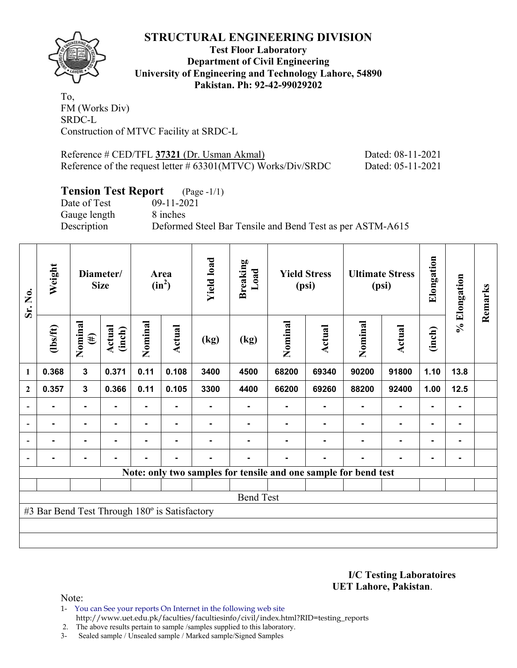

## **Test Floor Laboratory Department of Civil Engineering University of Engineering and Technology Lahore, 54890 Pakistan. Ph: 92-42-99029202**

To, FM (Works Div) SRDC-L Construction of MTVC Facility at SRDC-L

Reference # CED/TFL **37321** (Dr. Usman Akmal) Dated: 08-11-2021 Reference of the request letter # 63301(MTVC) Works/Div/SRDC Dated: 05-11-2021

# **Tension Test Report** (Page -1/1)

Date of Test 09-11-2021 Gauge length 8 inches

Description Deformed Steel Bar Tensile and Bend Test as per ASTM-A615

| Sr. No.                  | Weight                                        |                         | Diameter/<br><b>Size</b> |         | Area<br>$(in^2)$ |                | <b>Breaking</b><br>Load | <b>Yield Stress</b><br>(psi) |               | <b>Ultimate Stress</b><br>(psi)                                 |                | Elongation     | % Elongation | Remarks |
|--------------------------|-----------------------------------------------|-------------------------|--------------------------|---------|------------------|----------------|-------------------------|------------------------------|---------------|-----------------------------------------------------------------|----------------|----------------|--------------|---------|
|                          | (1bs/ft)                                      | Nominal<br>$(\#)$       | Actual<br>(inch)         | Nominal | Actual           | (kg)           | (kg)                    | Nominal                      | <b>Actual</b> | Nominal                                                         | Actual         | (inch)         |              |         |
| 1                        | 0.368                                         | $\overline{\mathbf{3}}$ | 0.371                    | 0.11    | 0.108            | 3400           | 4500                    | 68200                        | 69340         | 90200                                                           | 91800          | 1.10           | 13.8         |         |
| $\mathbf{2}$             | 0.357                                         | $\mathbf 3$             | 0.366                    | 0.11    | 0.105            | 3300           | 4400                    | 66200                        | 69260         | 88200                                                           | 92400          | 1.00           | 12.5         |         |
|                          |                                               | $\blacksquare$          |                          |         |                  |                |                         |                              |               |                                                                 |                |                |              |         |
| $\overline{\phantom{0}}$ |                                               | ۰                       |                          |         |                  |                |                         |                              |               |                                                                 | $\blacksquare$ | $\blacksquare$ |              |         |
|                          |                                               | ۰                       |                          |         |                  |                |                         |                              |               |                                                                 | $\blacksquare$ | $\blacksquare$ |              |         |
| $\blacksquare$           | $\blacksquare$                                | $\blacksquare$          | $\blacksquare$           |         | $\blacksquare$   | $\blacksquare$ |                         |                              | ۰             |                                                                 | $\blacksquare$ | $\blacksquare$ |              |         |
|                          |                                               |                         |                          |         |                  |                |                         |                              |               | Note: only two samples for tensile and one sample for bend test |                |                |              |         |
|                          |                                               |                         |                          |         |                  |                |                         |                              |               |                                                                 |                |                |              |         |
|                          |                                               |                         |                          |         |                  |                | <b>Bend Test</b>        |                              |               |                                                                 |                |                |              |         |
|                          | #3 Bar Bend Test Through 180° is Satisfactory |                         |                          |         |                  |                |                         |                              |               |                                                                 |                |                |              |         |
|                          |                                               |                         |                          |         |                  |                |                         |                              |               |                                                                 |                |                |              |         |
|                          |                                               |                         |                          |         |                  |                |                         |                              |               |                                                                 |                |                |              |         |

**I/C Testing Laboratoires UET Lahore, Pakistan**.

Note:

1- You can See your reports On Internet in the following web site http://www.uet.edu.pk/faculties/facultiesinfo/civil/index.html?RID=testing\_reports

2. The above results pertain to sample /samples supplied to this laboratory.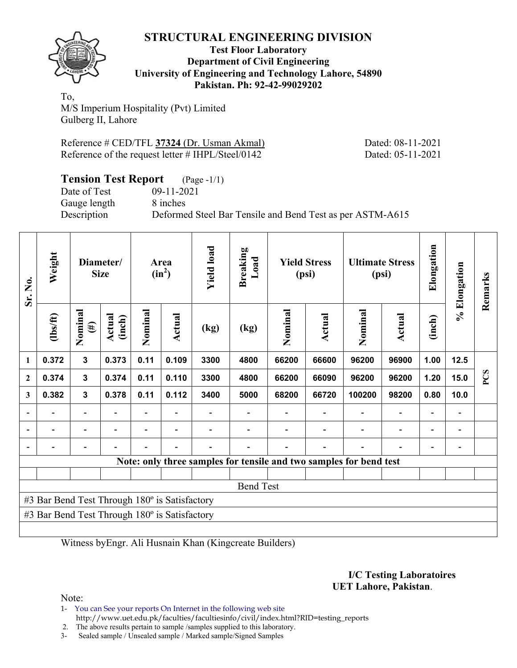

#### **Test Floor Laboratory Department of Civil Engineering University of Engineering and Technology Lahore, 54890 Pakistan. Ph: 92-42-99029202**

To, M/S Imperium Hospitality (Pvt) Limited Gulberg II, Lahore

Reference # CED/TFL **37324** (Dr. Usman Akmal) Dated: 08-11-2021 Reference of the request letter # IHPL/Steel/0142 Dated: 05-11-2021

| <b>Tension Test Report</b> (Page -1/1) |                                                           |
|----------------------------------------|-----------------------------------------------------------|
| Date of Test                           | 09-11-2021                                                |
| Gauge length                           | 8 inches                                                  |
| Description                            | Deformed Steel Bar Tensile and Bend Test as per ASTM-A615 |

| Sr. No.      | Weight                                        | Diameter/<br><b>Size</b> |                  | Area<br>$(in^2)$         |                          | <b>Yield load</b> | <b>Breaking</b><br>Load | <b>Yield Stress</b><br>(psi) |               | <b>Ultimate Stress</b><br>(psi)                                    |                          | Elongation               | % Elongation                 | Remarks    |
|--------------|-----------------------------------------------|--------------------------|------------------|--------------------------|--------------------------|-------------------|-------------------------|------------------------------|---------------|--------------------------------------------------------------------|--------------------------|--------------------------|------------------------------|------------|
|              | (1bs/ft)                                      | Nominal<br>$(\#)$        | Actual<br>(inch) | Nominal                  | Actual                   | (kg)              | (kg)                    | Nominal                      | <b>Actual</b> | Nominal                                                            | Actual                   | (inch)                   |                              |            |
| 1            | 0.372                                         | $\mathbf{3}$             | 0.373            | 0.11                     | 0.109                    | 3300              | 4800                    | 66200                        | 66600         | 96200                                                              | 96900                    | 1.00                     | 12.5                         |            |
| $\mathbf{2}$ | 0.374                                         | $\mathbf{3}$             | 0.374            | 0.11                     | 0.110                    | 3300              | 4800                    | 66200                        | 66090         | 96200                                                              | 96200                    | 1.20                     | 15.0                         | <b>PCS</b> |
| 3            | 0.382                                         | $\mathbf{3}$             | 0.378            | 0.11                     | 0.112                    | 3400              | 5000                    | 68200                        | 66720         | 100200                                                             | 98200                    | 0.80                     | 10.0                         |            |
|              | $\overline{\phantom{0}}$                      | $\overline{\phantom{0}}$ |                  | $\overline{\phantom{0}}$ | $\overline{\phantom{a}}$ |                   |                         |                              |               |                                                                    | $\overline{\phantom{0}}$ | $\overline{\phantom{0}}$ | $\qquad \qquad \blacksquare$ |            |
|              |                                               | $\overline{\phantom{0}}$ |                  |                          |                          |                   |                         |                              |               |                                                                    | $\blacksquare$           |                          | $\overline{\phantom{a}}$     |            |
|              |                                               |                          |                  |                          |                          |                   |                         |                              |               |                                                                    |                          |                          |                              |            |
|              |                                               |                          |                  |                          |                          |                   |                         |                              |               | Note: only three samples for tensile and two samples for bend test |                          |                          |                              |            |
|              |                                               |                          |                  |                          |                          |                   |                         |                              |               |                                                                    |                          |                          |                              |            |
|              |                                               |                          |                  |                          |                          |                   | <b>Bend Test</b>        |                              |               |                                                                    |                          |                          |                              |            |
|              | #3 Bar Bend Test Through 180° is Satisfactory |                          |                  |                          |                          |                   |                         |                              |               |                                                                    |                          |                          |                              |            |
|              | #3 Bar Bend Test Through 180° is Satisfactory |                          |                  |                          |                          |                   |                         |                              |               |                                                                    |                          |                          |                              |            |
|              |                                               |                          |                  |                          |                          |                   |                         |                              |               |                                                                    |                          |                          |                              |            |

Witness byEngr. Ali Husnain Khan (Kingcreate Builders)

**I/C Testing Laboratoires UET Lahore, Pakistan**.

Note:

1- You can See your reports On Internet in the following web site http://www.uet.edu.pk/faculties/facultiesinfo/civil/index.html?RID=testing\_reports

2. The above results pertain to sample /samples supplied to this laboratory.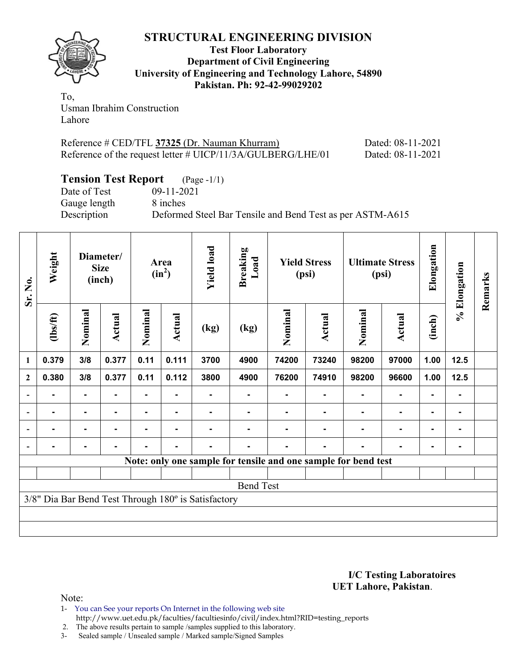

**Test Floor Laboratory Department of Civil Engineering University of Engineering and Technology Lahore, 54890 Pakistan. Ph: 92-42-99029202** 

To, Usman Ibrahim Construction Lahore

| Reference # CED/TFL 37325 (Dr. Nauman Khurram)              | Dated: 08-11-2021 |
|-------------------------------------------------------------|-------------------|
| Reference of the request letter # UICP/11/3A/GULBERG/LHE/01 | Dated: 08-11-2021 |

# **Tension Test Report** (Page -1/1)

Date of Test 09-11-2021 Gauge length 8 inches

Description Deformed Steel Bar Tensile and Bend Test as per ASTM-A615

| Sr. No.                  | Weight         | Diameter/<br><b>Size</b><br>(inch) |        | Area<br>$(in^2)$ |                | <b>Yield load</b>                                   | <b>Breaking</b><br>Load | <b>Yield Stress</b><br>(psi)                                   |        | <b>Ultimate Stress</b><br>(psi) |               | Elongation | % Elongation | Remarks |
|--------------------------|----------------|------------------------------------|--------|------------------|----------------|-----------------------------------------------------|-------------------------|----------------------------------------------------------------|--------|---------------------------------|---------------|------------|--------------|---------|
|                          | $\frac{2}{10}$ | Nominal                            | Actual | Nominal          | Actual         | (kg)                                                | (kg)                    | Nominal                                                        | Actual | Nominal                         | <b>Actual</b> | (inch)     |              |         |
| $\mathbf{1}$             | 0.379          | 3/8                                | 0.377  | 0.11             | 0.111          | 3700                                                | 4900                    | 74200                                                          | 73240  | 98200                           | 97000         | 1.00       | 12.5         |         |
| $\overline{2}$           | 0.380          | 3/8                                | 0.377  | 0.11             | 0.112          | 3800                                                | 4900                    | 76200                                                          | 74910  | 98200                           | 96600         | 1.00       | $12.5$       |         |
|                          |                | $\blacksquare$                     |        | ۰                |                |                                                     |                         |                                                                | ۰      |                                 | ۰             |            | ۰            |         |
| $\overline{\phantom{0}}$ |                | $\blacksquare$                     |        |                  |                |                                                     |                         |                                                                |        |                                 |               |            | ۰            |         |
| $\overline{\phantom{a}}$ | ۰              | ۰                                  |        |                  |                |                                                     |                         |                                                                |        |                                 |               |            | ۰            |         |
|                          | $\blacksquare$ | $\blacksquare$                     |        |                  | $\blacksquare$ |                                                     |                         |                                                                |        |                                 |               |            | ۰            |         |
|                          |                |                                    |        |                  |                |                                                     |                         | Note: only one sample for tensile and one sample for bend test |        |                                 |               |            |              |         |
|                          |                |                                    |        |                  |                |                                                     |                         |                                                                |        |                                 |               |            |              |         |
|                          |                |                                    |        |                  |                |                                                     | <b>Bend Test</b>        |                                                                |        |                                 |               |            |              |         |
|                          |                |                                    |        |                  |                | 3/8" Dia Bar Bend Test Through 180° is Satisfactory |                         |                                                                |        |                                 |               |            |              |         |
|                          |                |                                    |        |                  |                |                                                     |                         |                                                                |        |                                 |               |            |              |         |
|                          |                |                                    |        |                  |                |                                                     |                         |                                                                |        |                                 |               |            |              |         |

#### **I/C Testing Laboratoires UET Lahore, Pakistan**.

Note:

1- You can See your reports On Internet in the following web site http://www.uet.edu.pk/faculties/facultiesinfo/civil/index.html?RID=testing\_reports

2. The above results pertain to sample / samples supplied to this laboratory.<br>3- Sealed sample / Unsealed sample / Marked sample/Signed Samples